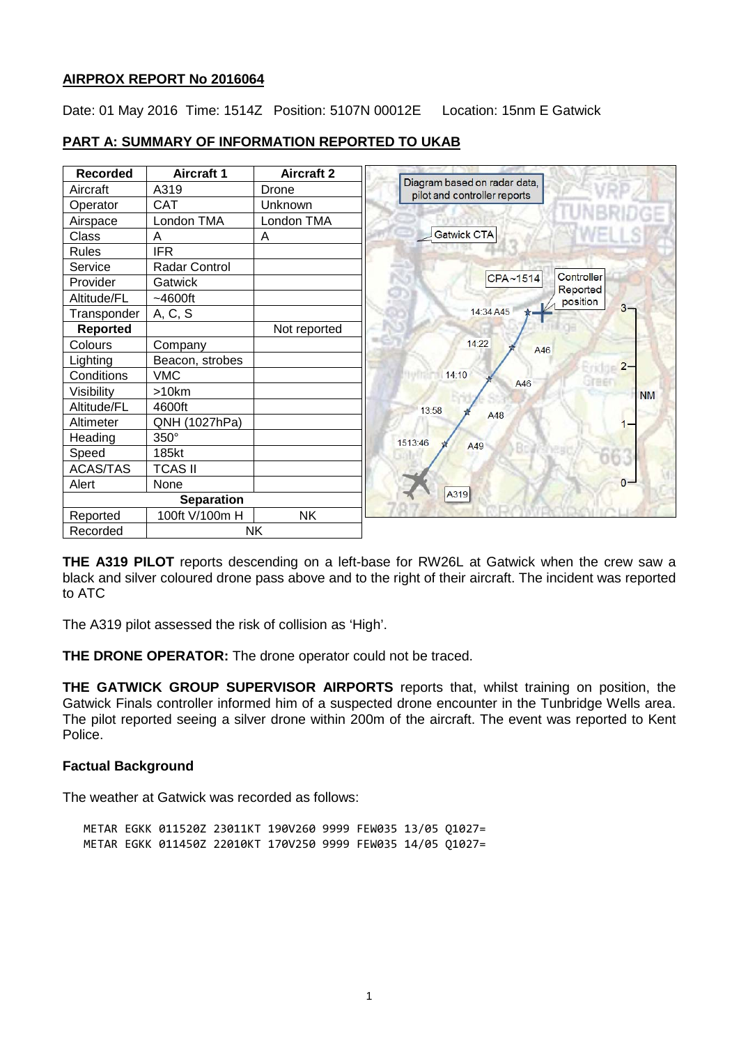### **AIRPROX REPORT No 2016064**

Date: 01 May 2016 Time: 1514Z Position: 5107N 00012E Location: 15nm E Gatwick

| <b>Recorded</b> | <b>Aircraft 1</b> | <b>Aircraft 2</b> | Diagram based on radar data, |
|-----------------|-------------------|-------------------|------------------------------|
| Aircraft        | A319              | Drone             | pilot and controller reports |
| Operator        | <b>CAT</b>        | Unknown           |                              |
| Airspace        | London TMA        | London TMA        |                              |
| Class           | A                 | A                 | Gatwick CTA                  |
| <b>Rules</b>    | <b>IFR</b>        |                   |                              |
| Service         | Radar Control     |                   |                              |
| Provider        | Gatwick           |                   | CPA~1514                     |
| Altitude/FL     | ~100              |                   |                              |
| Transponder     | A, C, S           |                   | 14:34 A45                    |
| <b>Reported</b> |                   | Not reported      |                              |
| Colours         | Company           |                   | 14:22<br>A46                 |
| Lighting        | Beacon, strobes   |                   |                              |
| Conditions      | <b>VMC</b>        |                   | 14:10<br>A46                 |
| Visibility      | $>10$ km          |                   |                              |
| Altitude/FL     | 4600ft            |                   | 13:58<br>A48                 |
| Altimeter       | QNH (1027hPa)     |                   |                              |
| Heading         | 350°              |                   | 1513:46<br>A49               |
| Speed           | 185kt             |                   |                              |
| <b>ACAS/TAS</b> | <b>TCAS II</b>    |                   |                              |
| Alert           | None              |                   |                              |
|                 | <b>Separation</b> |                   | A319                         |
| Reported        | 100ft V/100m H    | <b>NK</b>         |                              |
| Recorded        | <b>NK</b>         |                   |                              |

# **PART A: SUMMARY OF INFORMATION REPORTED TO UKAB**

**THE A319 PILOT** reports descending on a left-base for RW26L at Gatwick when the crew saw a black and silver coloured drone pass above and to the right of their aircraft. The incident was reported to ATC

The A319 pilot assessed the risk of collision as 'High'.

**THE DRONE OPERATOR:** The drone operator could not be traced.

**THE GATWICK GROUP SUPERVISOR AIRPORTS** reports that, whilst training on position, the Gatwick Finals controller informed him of a suspected drone encounter in the Tunbridge Wells area. The pilot reported seeing a silver drone within 200m of the aircraft. The event was reported to Kent Police.

#### **Factual Background**

The weather at Gatwick was recorded as follows:

METAR EGKK 011520Z 23011KT 190V260 9999 FEW035 13/05 Q1027= METAR EGKK 011450Z 22010KT 170V250 9999 FEW035 14/05 Q1027=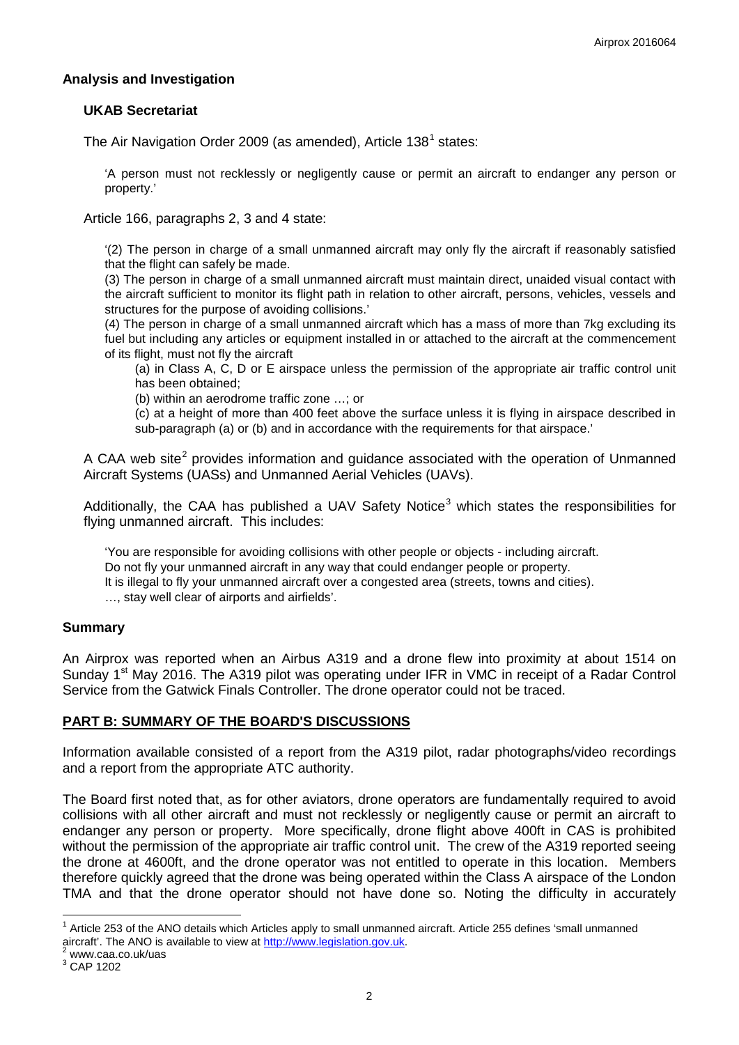### **Analysis and Investigation**

### **UKAB Secretariat**

The Air Navigation Order 2009 (as amended), Article  $138^1$  $138^1$  states:

'A person must not recklessly or negligently cause or permit an aircraft to endanger any person or property.'

Article 166, paragraphs 2, 3 and 4 state:

'(2) The person in charge of a small unmanned aircraft may only fly the aircraft if reasonably satisfied that the flight can safely be made.

(3) The person in charge of a small unmanned aircraft must maintain direct, unaided visual contact with the aircraft sufficient to monitor its flight path in relation to other aircraft, persons, vehicles, vessels and structures for the purpose of avoiding collisions.'

(4) The person in charge of a small unmanned aircraft which has a mass of more than 7kg excluding its fuel but including any articles or equipment installed in or attached to the aircraft at the commencement of its flight, must not fly the aircraft

(a) in Class A, C, D or E airspace unless the permission of the appropriate air traffic control unit has been obtained;

(b) within an aerodrome traffic zone …; or

(c) at a height of more than 400 feet above the surface unless it is flying in airspace described in sub-paragraph (a) or (b) and in accordance with the requirements for that airspace.'

A CAA web site<sup>[2](#page-1-1)</sup> provides information and quidance associated with the operation of Unmanned Aircraft Systems (UASs) and Unmanned Aerial Vehicles (UAVs).

Additionally, the CAA has published a UAV Safety Notice<sup>[3](#page-1-2)</sup> which states the responsibilities for flying unmanned aircraft. This includes:

'You are responsible for avoiding collisions with other people or objects - including aircraft. Do not fly your unmanned aircraft in any way that could endanger people or property. It is illegal to fly your unmanned aircraft over a congested area (streets, towns and cities). …, stay well clear of airports and airfields'.

#### **Summary**

An Airprox was reported when an Airbus A319 and a drone flew into proximity at about 1514 on Sunday 1<sup>st</sup> May 2016. The A319 pilot was operating under IFR in VMC in receipt of a Radar Control Service from the Gatwick Finals Controller. The drone operator could not be traced.

# **PART B: SUMMARY OF THE BOARD'S DISCUSSIONS**

Information available consisted of a report from the A319 pilot, radar photographs/video recordings and a report from the appropriate ATC authority.

The Board first noted that, as for other aviators, drone operators are fundamentally required to avoid collisions with all other aircraft and must not recklessly or negligently cause or permit an aircraft to endanger any person or property. More specifically, drone flight above 400ft in CAS is prohibited without the permission of the appropriate air traffic control unit. The crew of the A319 reported seeing the drone at 4600ft, and the drone operator was not entitled to operate in this location. Members therefore quickly agreed that the drone was being operated within the Class A airspace of the London TMA and that the drone operator should not have done so. Noting the difficulty in accurately

<span id="page-1-0"></span> $1$  Article 253 of the ANO details which Articles apply to small unmanned aircraft. Article 255 defines 'small unmanned aircraft'. The ANO is available to view at [http://www.legislation.gov.uk.](http://www.legislation.gov.uk/)<sup>2</sup> www.caa.co.uk/uas 3 CAP 1202

<span id="page-1-1"></span>

<span id="page-1-2"></span>